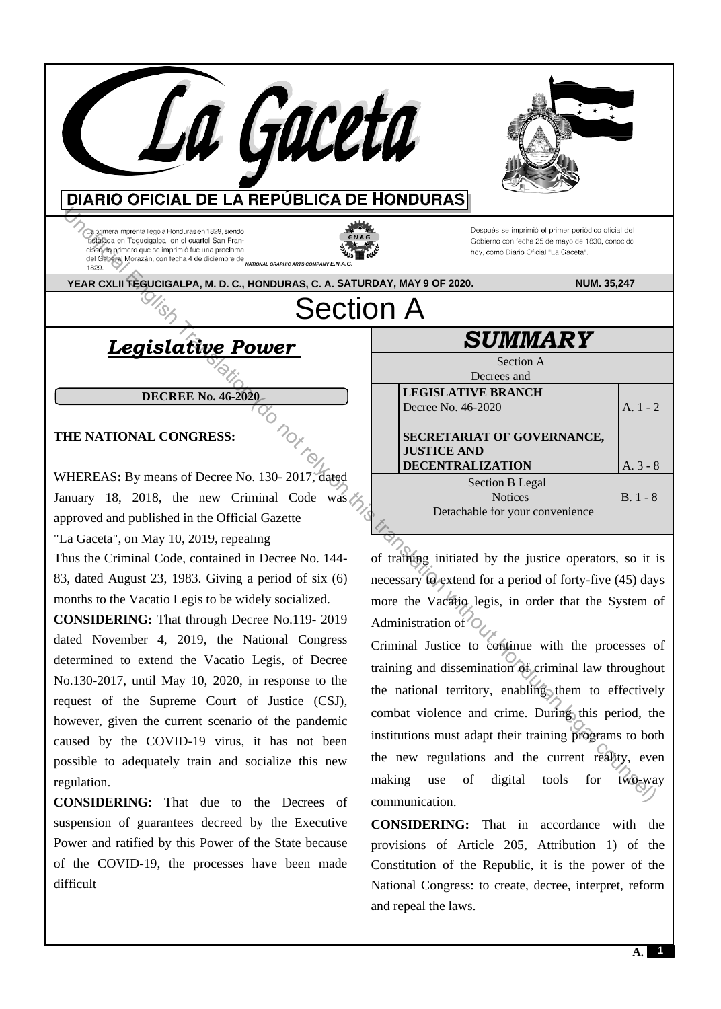La Gaceta **DIARIO OFICIAL DE LA REPÚBLICA DE HONDURAS EXERUSE TRANSLATION CONSERVER CONOUNTIER CONOUNTIER CONOUNTIER CONOUNTIER CONSERVER CONSERVER CONSERVER CONSERVER CONSERVER CONSERVER CONSERVER CONSERVER CONSERVER CONSERVER CONSERVER CONSERVER CONSERVER CONSERVER CONSER** *NATIONAL GRAPHIC ARTS COMPANY E.N.A.G.*  **YEAR CXLII TEGUCIGALPA, M. D. C., HONDURAS, C. A. SATURDAY, MAY 9 OF 2020. NUM. 35,247**  Section A *SUMMARY Legislative Power*  Section A Decrees and **LEGISLATIVE BRANCH DECREE No. 46-2020**  Decree No. 46-2020 A. 1 - 2 **THE NATIONAL CONGRESS: SECRETARIAT OF GOVERNANCE, JUSTICE AND DECENTRALIZATION**  A. 3 - 8

WHEREAS**:** By means of Decree No. 130- 2017, dated January 18, 2018, the new Criminal Code was approved and published in the Official Gazette

"La Gaceta", on May 10, 2019, repealing

Thus the Criminal Code, contained in Decree No. 144- 83, dated August 23, 1983. Giving a period of six (6) months to the Vacatio Legis to be widely socialized.

**CONSIDERING:** That through Decree No.119- 2019 dated November 4, 2019, the National Congress determined to extend the Vacatio Legis, of Decree No.130-2017, until May 10, 2020, in response to the request of the Supreme Court of Justice (CSJ), however, given the current scenario of the pandemic caused by the COVID-19 virus, it has not been possible to adequately train and socialize this new regulation.

**CONSIDERING:** That due to the Decrees of suspension of guarantees decreed by the Executive Power and ratified by this Power of the State because of the COVID-19, the processes have been made difficult

of training initiated by the justice operators, so it is necessary to extend for a period of forty-five (45) days more the Vacatio legis, in order that the System of Administration of

Section B Legal **Notices** Detachable for your convenience

Criminal Justice to continue with the processes of training and dissemination of criminal law throughout the national territory, enabling them to effectively combat violence and crime. During this period, the institutions must adapt their training programs to both the new regulations and the current reality, even making use of digital tools for two-way communication.

**CONSIDERING:** That in accordance with the provisions of Article 205, Attribution 1) of the Constitution of the Republic, it is the power of the National Congress: to create, decree, interpret, reform and repeal the laws.

B. 1 - 8

**1**